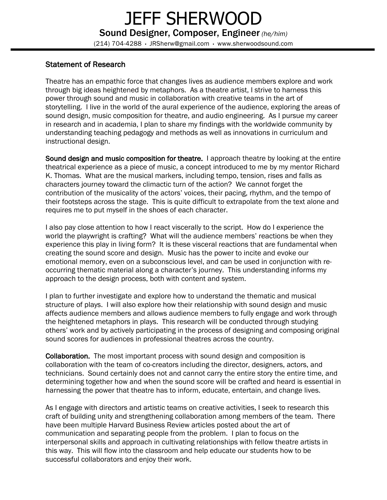## JEFF SHERWOOD Sound Designer, Composer, Engineer *(he/him)* (214) 704-4288 · JRSherw@gmail.com · www.sherwoodsound.com

## Statement of Research

Theatre has an empathic force that changes lives as audience members explore and work through big ideas heightened by metaphors. As a theatre artist, I strive to harness this power through sound and music in collaboration with creative teams in the art of storytelling. I live in the world of the aural experience of the audience, exploring the areas of sound design, music composition for theatre, and audio engineering. As I pursue my career in research and in academia, I plan to share my findings with the worldwide community by understanding teaching pedagogy and methods as well as innovations in curriculum and instructional design.

Sound design and music composition for theatre. I approach theatre by looking at the entire theatrical experience as a piece of music, a concept introduced to me by my mentor Richard K. Thomas. What are the musical markers, including tempo, tension, rises and falls as characters journey toward the climactic turn of the action? We cannot forget the contribution of the musicality of the actors' voices, their pacing, rhythm, and the tempo of their footsteps across the stage. This is quite difficult to extrapolate from the text alone and requires me to put myself in the shoes of each character.

I also pay close attention to how I react viscerally to the script. How do I experience the world the playwright is crafting? What will the audience members' reactions be when they experience this play in living form? It is these visceral reactions that are fundamental when creating the sound score and design. Music has the power to incite and evoke our emotional memory, even on a subconscious level, and can be used in conjunction with reoccurring thematic material along a character's journey. This understanding informs my approach to the design process, both with content and system.

I plan to further investigate and explore how to understand the thematic and musical structure of plays. I will also explore how their relationship with sound design and music affects audience members and allows audience members to fully engage and work through the heightened metaphors in plays. This research will be conducted through studying others' work and by actively participating in the process of designing and composing original sound scores for audiences in professional theatres across the country.

Collaboration. The most important process with sound design and composition is collaboration with the team of co-creators including the director, designers, actors, and technicians. Sound certainly does not and cannot carry the entire story the entire time, and determining together how and when the sound score will be crafted and heard is essential in harnessing the power that theatre has to inform, educate, entertain, and change lives.

As I engage with directors and artistic teams on creative activities, I seek to research this craft of building unity and strengthening collaboration among members of the team. There have been multiple Harvard Business Review articles posted about the art of communication and separating people from the problem. I plan to focus on the interpersonal skills and approach in cultivating relationships with fellow theatre artists in this way. This will flow into the classroom and help educate our students how to be successful collaborators and enjoy their work.